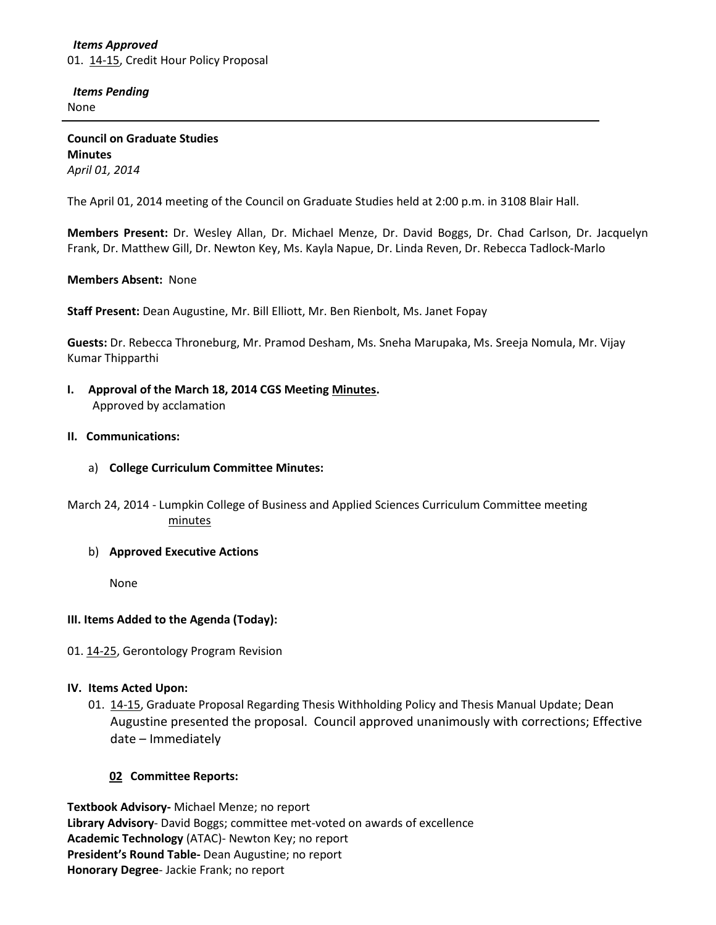## *Items Approved* 01. [14-15,](http://castle.eiu.edu/~eiucgs/currentagendaitems/agenda14-15.pdf) Credit Hour Policy Proposal

 *Items Pending* None

**Council on Graduate Studies Minutes** *April 01, 2014*

The April 01, 2014 meeting of the Council on Graduate Studies held at 2:00 p.m. in 3108 Blair Hall.

**Members Present:** Dr. Wesley Allan, Dr. Michael Menze, Dr. David Boggs, Dr. Chad Carlson, Dr. Jacquelyn Frank, Dr. Matthew Gill, Dr. Newton Key, Ms. Kayla Napue, Dr. Linda Reven, Dr. Rebecca Tadlock-Marlo

## **Members Absent:** None

**Staff Present:** Dean Augustine, Mr. Bill Elliott, Mr. Ben Rienbolt, Ms. Janet Fopay

**Guests:** Dr. Rebecca Throneburg, Mr. Pramod Desham, Ms. Sneha Marupaka, Ms. Sreeja Nomula, Mr. Vijay Kumar Thipparthi

**I. Approval of the March 18, 2014 CGS Meeting [Minutes.](http://castle.eiu.edu/eiucgs/currentminutes/Minutes03-18-14.pdf)** Approved by acclamation

#### **II. Communications:**

- a) **College Curriculum Committee Minutes:**
- March 24, 2014 Lumpkin College of Business and Applied Sciences Curriculum Committee meeting [minutes](http://castle.eiu.edu/~eiucgs/currentagendaitems/LCBASMin03-24-14.pdf)
	- b) **Approved Executive Actions**

None

## **III. Items Added to the Agenda (Today):**

## 01. [14-25,](http://castle.eiu.edu/~eiucgs/currentagendaitems/agenda14-25.pdf) Gerontology Program Revision

## **IV. Items Acted Upon:**

01. [14-15,](http://castle.eiu.edu/~eiucgs/currentagendaitems/agenda14-15.pdf) Graduate Proposal Regarding Thesis Withholding Policy and Thesis Manual Update; Dean Augustine presented the proposal. Council approved unanimously with corrections; Effective date – Immediately

## **02 Committee Reports:**

**Textbook Advisory-** Michael Menze; no report **Library Advisory**- David Boggs; committee met-voted on awards of excellence **Academic Technology** (ATAC)- Newton Key; no report **President's Round Table-** Dean Augustine; no report **Honorary Degree**- Jackie Frank; no report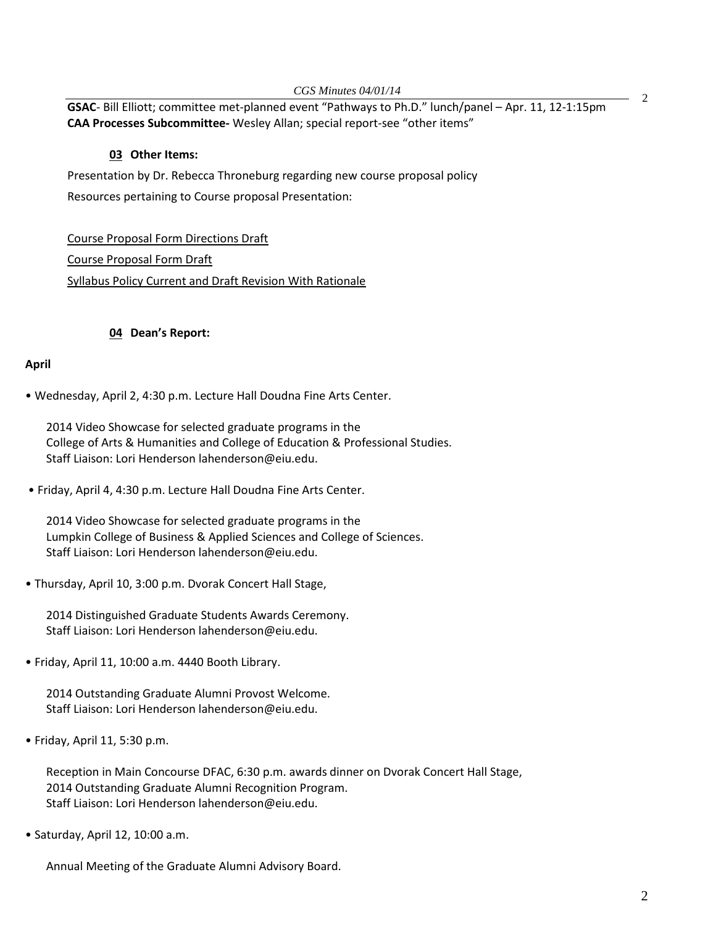**GSAC**- Bill Elliott; committee met-planned event "Pathways to Ph.D." lunch/panel – Apr. 11, 12-1:15pm **CAA Processes Subcommittee-** Wesley Allan; special report-see "other items"

# **03 Other Items:**

Presentation by Dr. Rebecca Throneburg regarding new course proposal policy Resources pertaining to Course proposal Presentation:

[Course Proposal Form Directions Draft](http://castle.eiu.edu/~eiucgs/documents/CourseProposalFormDirectionsDraftMar28v2.pdf) [Course Proposal Form Draft](http://castle.eiu.edu/~eiucgs/documents/CourseProposalFormDraftMar28.pdf) [Syllabus Policy Current and Draft Revision With Rationale](http://castle.eiu.edu/~eiucgs/documents/SyllabusPolicyCurrentandDraftRevisionWithRationale4.pdf)

## **04 Dean's Report:**

#### **April**

• Wednesday, April 2, 4:30 p.m. Lecture Hall Doudna Fine Arts Center.

2014 Video Showcase for selected graduate programs in the College of Arts & Humanities and College of Education & Professional Studies. Staff Liaison: Lori Henderson lahenderson@eiu.edu.

• Friday, April 4, 4:30 p.m. Lecture Hall Doudna Fine Arts Center.

2014 Video Showcase for selected graduate programs in the Lumpkin College of Business & Applied Sciences and College of Sciences. Staff Liaison: Lori Henderson lahenderson@eiu.edu.

• Thursday, April 10, 3:00 p.m. Dvorak Concert Hall Stage,

2014 Distinguished Graduate Students Awards Ceremony. Staff Liaison: Lori Henderson lahenderson@eiu.edu.

• Friday, April 11, 10:00 a.m. 4440 Booth Library.

2014 Outstanding Graduate Alumni Provost Welcome. Staff Liaison: Lori Henderson lahenderson@eiu.edu.

• Friday, April 11, 5:30 p.m.

Reception in Main Concourse DFAC, 6:30 p.m. awards dinner on Dvorak Concert Hall Stage, 2014 Outstanding Graduate Alumni Recognition Program. Staff Liaison: Lori Henderson lahenderson@eiu.edu.

• Saturday, April 12, 10:00 a.m.

Annual Meeting of the Graduate Alumni Advisory Board.

2